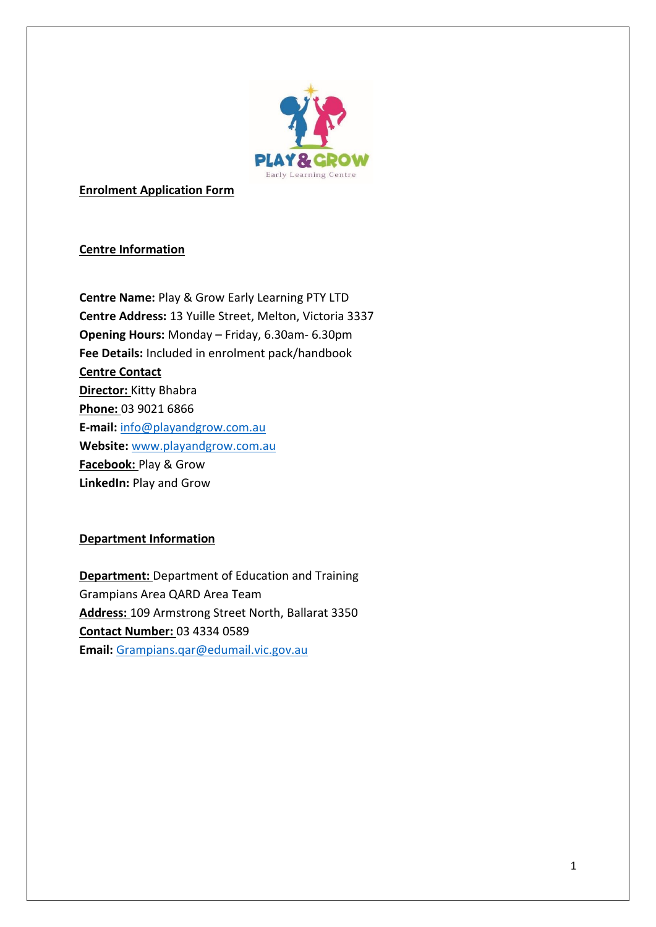

**Enrolment Application Form**

## **Centre Information**

**Centre Name:** Play & Grow Early Learning PTY LTD **Centre Address:** 13 Yuille Street, Melton, Victoria 3337 **Opening Hours:** Monday – Friday, 6.30am- 6.30pm **Fee Details:** Included in enrolment pack/handbook **Centre Contact Director:** Kitty Bhabra **Phone:** 03 9021 6866 **E-mail:** [info@playandgrow.com.au](mailto:info@playandgrow.com.au) **Website:** [www.playandgrow.com.au](http://www.playandgrow.com.au/) **Facebook:** Play & Grow **LinkedIn:** Play and Grow

## **Department Information**

**Department:** Department of Education and Training Grampians Area QARD Area Team **Address:** 109 Armstrong Street North, Ballarat 3350 **Contact Number:** 03 4334 0589 **Email:** [Grampians.qar@edumail.vic.gov.au](mailto:Grampians.qar@edumail.vic.gov.au)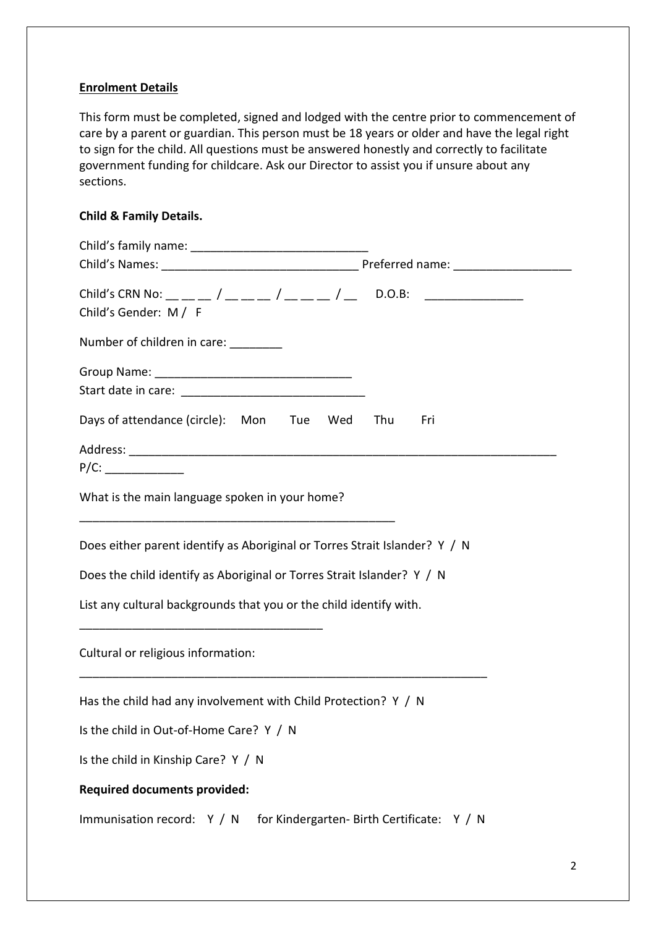### **Enrolment Details**

This form must be completed, signed and lodged with the centre prior to commencement of care by a parent or guardian. This person must be 18 years or older and have the legal right to sign for the child. All questions must be answered honestly and correctly to facilitate government funding for childcare. Ask our Director to assist you if unsure about any sections.

## **Child & Family Details.**

| Child's CRN No: __ __ _ / __ __ _ / __ __ / __ D.O.B: ___________________________<br>Child's Gender: M / F |                                            |
|------------------------------------------------------------------------------------------------------------|--------------------------------------------|
| Number of children in care: _______                                                                        |                                            |
|                                                                                                            |                                            |
| Days of attendance (circle): Mon Tue Wed Thu                                                               | Fri                                        |
|                                                                                                            |                                            |
| P/C:                                                                                                       |                                            |
| What is the main language spoken in your home?                                                             |                                            |
| Does either parent identify as Aboriginal or Torres Strait Islander? Y / N                                 |                                            |
| Does the child identify as Aboriginal or Torres Strait Islander? Y / N                                     |                                            |
| List any cultural backgrounds that you or the child identify with.                                         |                                            |
| Cultural or religious information:                                                                         |                                            |
| Has the child had any involvement with Child Protection? Y / N                                             |                                            |
| Is the child in Out-of-Home Care? Y / N                                                                    |                                            |
| Is the child in Kinship Care? Y / N                                                                        |                                            |
| <b>Required documents provided:</b>                                                                        |                                            |
| Immunisation record: Y / N                                                                                 | for Kindergarten- Birth Certificate: Y / N |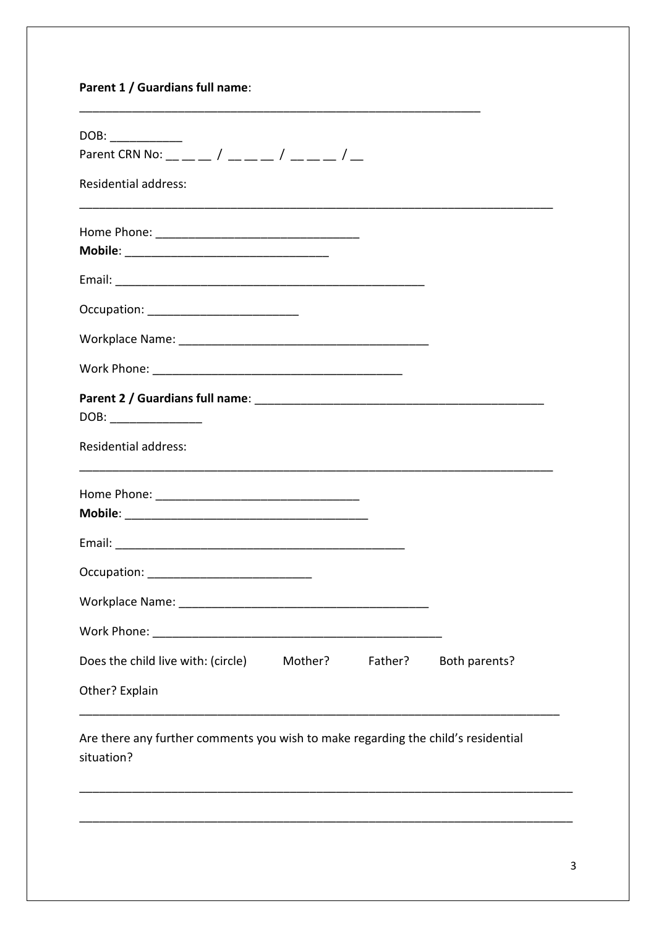# Parent 1 / Guardians full name:

| DOB:<br>Parent CRN No: _ _ _ / _ _ _ / _ _ _ / _ _ _ / |         |         |               |
|--------------------------------------------------------|---------|---------|---------------|
| <b>Residential address:</b>                            |         |         |               |
|                                                        |         |         |               |
|                                                        |         |         |               |
|                                                        |         |         |               |
|                                                        |         |         |               |
|                                                        |         |         |               |
| DOB: _______________                                   |         |         |               |
| <b>Residential address:</b>                            |         |         |               |
|                                                        |         |         |               |
|                                                        |         |         |               |
|                                                        |         |         |               |
| <b>Workplace Name:</b>                                 |         |         |               |
|                                                        |         |         |               |
| Does the child live with: (circle)                     | Mother? | Father? | Both parents? |
| Other? Explain                                         |         |         |               |

Are there any further comments you wish to make regarding the child's residential situation?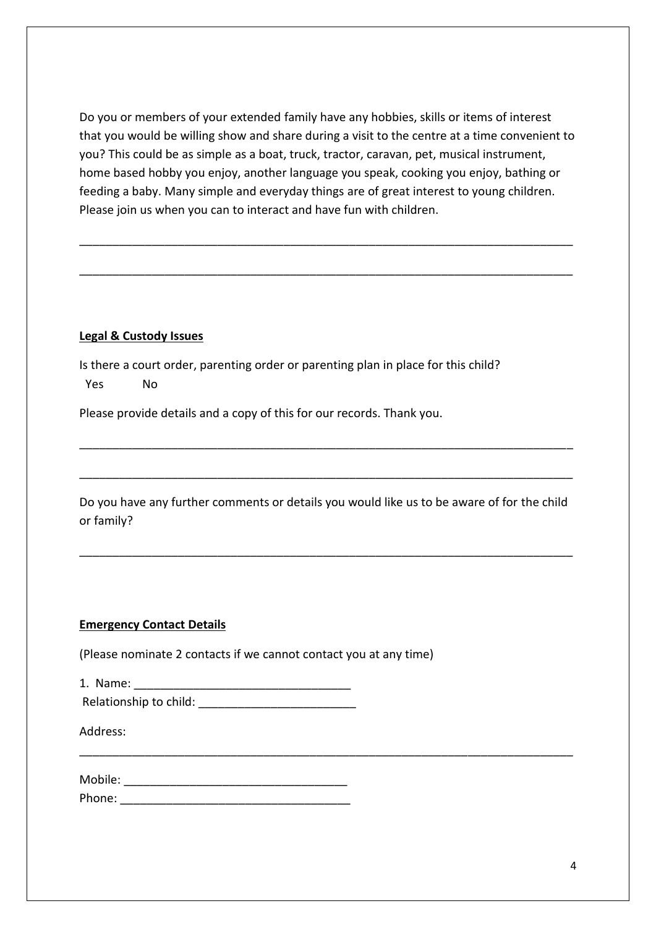Do you or members of your extended family have any hobbies, skills or items of interest that you would be willing show and share during a visit to the centre at a time convenient to you? This could be as simple as a boat, truck, tractor, caravan, pet, musical instrument, home based hobby you enjoy, another language you speak, cooking you enjoy, bathing or feeding a baby. Many simple and everyday things are of great interest to young children. Please join us when you can to interact and have fun with children.

\_\_\_\_\_\_\_\_\_\_\_\_\_\_\_\_\_\_\_\_\_\_\_\_\_\_\_\_\_\_\_\_\_\_\_\_\_\_\_\_\_\_\_\_\_\_\_\_\_\_\_\_\_\_\_\_\_\_\_\_\_\_\_\_\_\_\_\_\_\_\_\_\_\_\_

\_\_\_\_\_\_\_\_\_\_\_\_\_\_\_\_\_\_\_\_\_\_\_\_\_\_\_\_\_\_\_\_\_\_\_\_\_\_\_\_\_\_\_\_\_\_\_\_\_\_\_\_\_\_\_\_\_\_\_\_\_\_\_\_\_\_\_\_\_\_\_\_\_\_\_

#### **Legal & Custody Issues**

Is there a court order, parenting order or parenting plan in place for this child? Yes No

Please provide details and a copy of this for our records. Thank you.

| Do you have any further comments or details you would like us to be aware of for the child |  |  |  |
|--------------------------------------------------------------------------------------------|--|--|--|
| or family?                                                                                 |  |  |  |

\_\_\_\_\_\_\_\_\_\_\_\_\_\_\_\_\_\_\_\_\_\_\_\_\_\_\_\_\_\_\_\_\_\_\_\_\_\_\_\_\_\_\_\_\_\_\_\_\_\_\_\_\_\_\_\_\_\_\_\_\_\_\_\_\_\_\_\_\_\_\_\_\_\_\_

\_\_\_\_\_\_\_\_\_\_\_\_\_\_\_\_\_\_\_\_\_\_\_\_\_\_\_\_\_\_\_\_\_\_\_\_\_\_\_\_\_\_\_\_\_\_\_\_\_\_\_\_\_\_\_\_\_\_\_\_\_\_\_\_\_\_\_\_\_\_\_\_\_\_\_

\_\_\_\_\_\_\_\_\_\_\_\_\_\_\_\_\_\_\_\_\_\_\_\_\_\_\_\_\_\_\_\_\_\_\_\_\_\_\_\_\_\_\_\_\_\_\_\_\_\_\_\_\_\_\_\_\_\_\_\_\_\_\_\_\_\_\_\_\_\_\_\_\_\_\_

\_\_\_\_\_\_\_\_\_\_\_\_\_\_\_\_\_\_\_\_\_\_\_\_\_\_\_\_\_\_\_\_\_\_\_\_\_\_\_\_\_\_\_\_\_\_\_\_\_\_\_\_\_\_\_\_\_\_\_\_\_\_\_\_\_\_\_\_\_\_\_\_\_\_\_

#### **Emergency Contact Details**

(Please nominate 2 contacts if we cannot contact you at any time)

| 1. Name:               |  |
|------------------------|--|
| Relationship to child: |  |

Address:

| Mobile: |  |  |
|---------|--|--|
| Phone:  |  |  |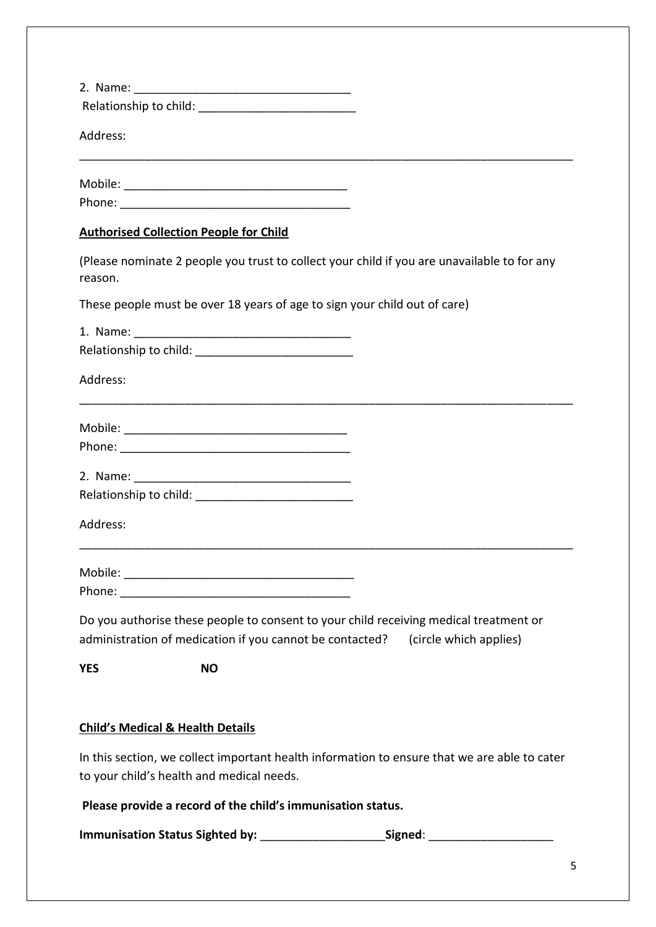| Address:   |                                               |                                                                                                                                                                          |
|------------|-----------------------------------------------|--------------------------------------------------------------------------------------------------------------------------------------------------------------------------|
|            |                                               |                                                                                                                                                                          |
|            |                                               |                                                                                                                                                                          |
|            | <b>Authorised Collection People for Child</b> |                                                                                                                                                                          |
| reason.    |                                               | (Please nominate 2 people you trust to collect your child if you are unavailable to for any                                                                              |
|            |                                               | These people must be over 18 years of age to sign your child out of care)                                                                                                |
|            |                                               |                                                                                                                                                                          |
|            |                                               |                                                                                                                                                                          |
| Address:   |                                               |                                                                                                                                                                          |
|            |                                               |                                                                                                                                                                          |
|            |                                               |                                                                                                                                                                          |
|            |                                               |                                                                                                                                                                          |
|            |                                               |                                                                                                                                                                          |
| Address:   |                                               |                                                                                                                                                                          |
|            |                                               |                                                                                                                                                                          |
|            |                                               |                                                                                                                                                                          |
|            |                                               |                                                                                                                                                                          |
|            |                                               | Do you authorise these people to consent to your child receiving medical treatment or<br>administration of medication if you cannot be contacted? (circle which applies) |
| <b>YES</b> | <b>NO</b>                                     |                                                                                                                                                                          |
|            |                                               |                                                                                                                                                                          |
|            | <b>Child's Medical &amp; Health Details</b>   |                                                                                                                                                                          |
|            |                                               | In this section, we collect important health information to ensure that we are able to cater                                                                             |
|            | to your child's health and medical needs.     |                                                                                                                                                                          |

**Please provide a record of the child's immunisation status.**

**Immunisation Status Sighted by:** \_\_\_\_\_\_\_\_\_\_\_\_\_\_\_\_\_\_\_**Signed**: \_\_\_\_\_\_\_\_\_\_\_\_\_\_\_\_\_\_\_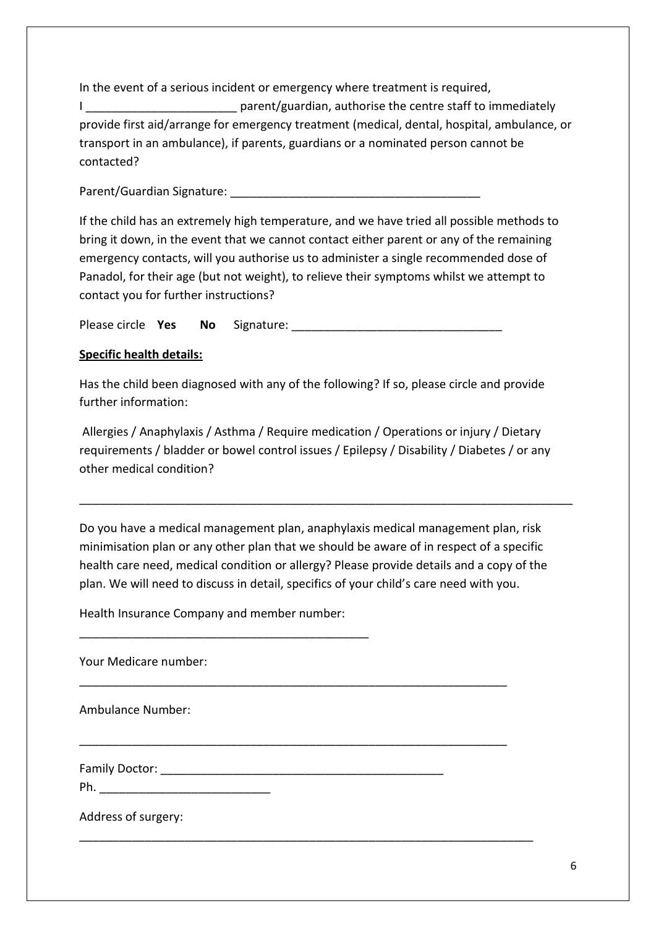In the event of a serious incident or emergency where treatment is required,

I **I Example 20 THS parent/guardian, authorise the centre staff to immediately** provide first aid/arrange for emergency treatment (medical, dental, hospital, ambulance, or transport in an ambulance), if parents, guardians or a nominated person cannot be contacted?

Parent/Guardian Signature: **Example 2018** 

If the child has an extremely high temperature, and we have tried all possible methods to bring it down, in the event that we cannot contact either parent or any of the remaining emergency contacts, will you authorise us to administer a single recommended dose of Panadol, for their age (but not weight), to relieve their symptoms whilst we attempt to contact you for further instructions?

Please circle **Yes No** Signature: \_\_\_\_\_\_\_\_\_\_\_\_\_\_\_\_\_\_\_\_\_\_\_\_\_\_\_\_\_\_\_\_

## **Specific health details:**

Has the child been diagnosed with any of the following? If so, please circle and provide further information:

Allergies / Anaphylaxis / Asthma / Require medication / Operations or injury / Dietary requirements / bladder or bowel control issues / Epilepsy / Disability / Diabetes / or any other medical condition?

\_\_\_\_\_\_\_\_\_\_\_\_\_\_\_\_\_\_\_\_\_\_\_\_\_\_\_\_\_\_\_\_\_\_\_\_\_\_\_\_\_\_\_\_\_\_\_\_\_\_\_\_\_\_\_\_\_\_\_\_\_\_\_\_\_\_\_\_\_\_\_\_\_\_\_

Do you have a medical management plan, anaphylaxis medical management plan, risk minimisation plan or any other plan that we should be aware of in respect of a specific health care need, medical condition or allergy? Please provide details and a copy of the plan. We will need to discuss in detail, specifics of your child's care need with you.

\_\_\_\_\_\_\_\_\_\_\_\_\_\_\_\_\_\_\_\_\_\_\_\_\_\_\_\_\_\_\_\_\_\_\_\_\_\_\_\_\_\_\_\_\_\_\_\_\_\_\_\_\_\_\_\_\_\_\_\_\_\_\_\_\_

\_\_\_\_\_\_\_\_\_\_\_\_\_\_\_\_\_\_\_\_\_\_\_\_\_\_\_\_\_\_\_\_\_\_\_\_\_\_\_\_\_\_\_\_\_\_\_\_\_\_\_\_\_\_\_\_\_\_\_\_\_\_\_\_\_

\_\_\_\_\_\_\_\_\_\_\_\_\_\_\_\_\_\_\_\_\_\_\_\_\_\_\_\_\_\_\_\_\_\_\_\_\_\_\_\_\_\_\_\_\_\_\_\_\_\_\_\_\_\_\_\_\_\_\_\_\_\_\_\_\_\_\_\_\_

Health Insurance Company and member number:

\_\_\_\_\_\_\_\_\_\_\_\_\_\_\_\_\_\_\_\_\_\_\_\_\_\_\_\_\_\_\_\_\_\_\_\_\_\_\_\_\_\_\_\_

Your Medicare number:

Ambulance Number:

Family Doctor: **Example 20** For the set of the set of the set of the set of the set of the set of the set of the set of the set of the set of the set of the set of the set of the set of the set of the set of the set of the

Ph.

Address of surgery: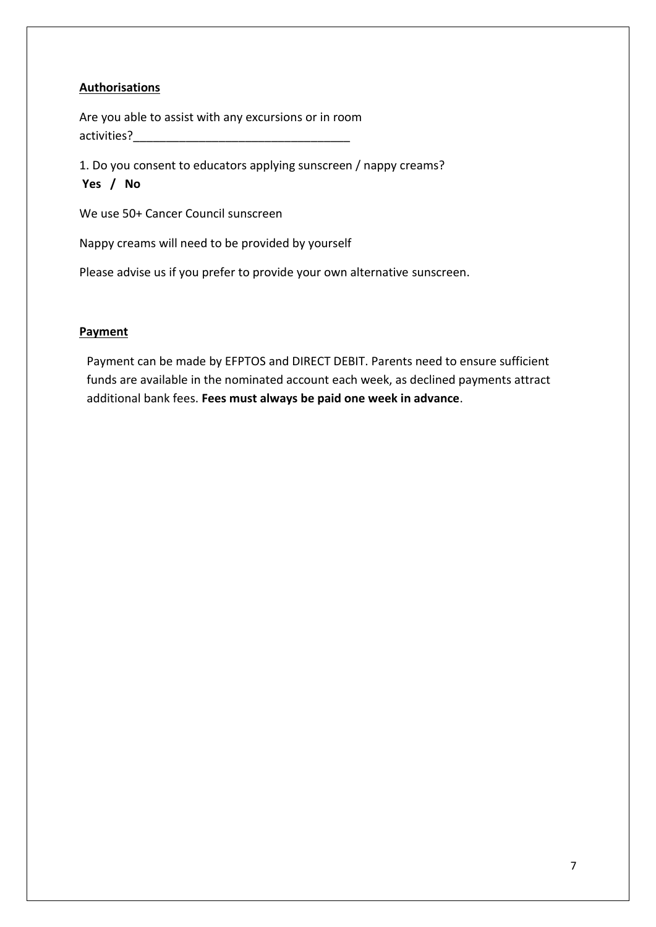## **Authorisations**

Are you able to assist with any excursions or in room activities?

1. Do you consent to educators applying sunscreen / nappy creams? **Yes / No**

We use 50+ Cancer Council sunscreen

Nappy creams will need to be provided by yourself

Please advise us if you prefer to provide your own alternative sunscreen.

#### **Payment**

Payment can be made by EFPTOS and DIRECT DEBIT. Parents need to ensure sufficient funds are available in the nominated account each week, as declined payments attract additional bank fees. **Fees must always be paid one week in advance**.